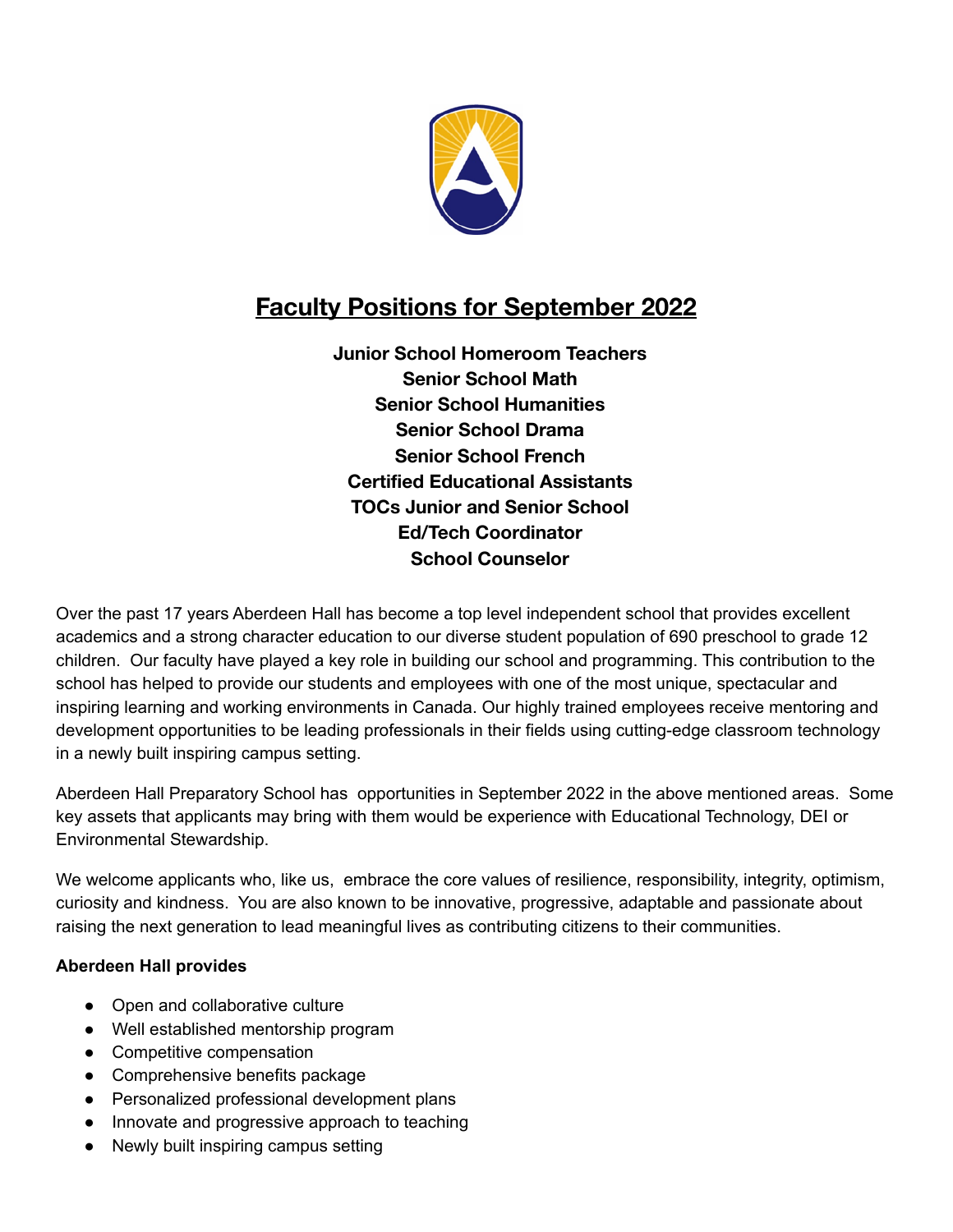

## **Faculty Positions for September 2022**

**Junior School Homeroom Teachers Senior School Math Senior School Humanities Senior School Drama Senior School French Certified Educational Assistants TOCs Junior and Senior School Ed/Tech Coordinator School Counselor**

Over the past 17 years Aberdeen Hall has become a top level independent school that provides excellent academics and a strong character education to our diverse student population of 690 preschool to grade 12 children. Our faculty have played a key role in building our school and programming. This contribution to the school has helped to provide our students and employees with one of the most unique, spectacular and inspiring learning and working environments in Canada. Our highly trained employees receive mentoring and development opportunities to be leading professionals in their fields using cutting-edge classroom technology in a newly built inspiring campus setting.

Aberdeen Hall Preparatory School has opportunities in September 2022 in the above mentioned areas. Some key assets that applicants may bring with them would be experience with Educational Technology, DEI or Environmental Stewardship.

We welcome applicants who, like us, embrace the core values of resilience, responsibility, integrity, optimism, curiosity and kindness. You are also known to be innovative, progressive, adaptable and passionate about raising the next generation to lead meaningful lives as contributing citizens to their communities.

## **Aberdeen Hall provides**

- Open and collaborative culture
- Well established mentorship program
- Competitive compensation
- Comprehensive benefits package
- Personalized professional development plans
- Innovate and progressive approach to teaching
- Newly built inspiring campus setting